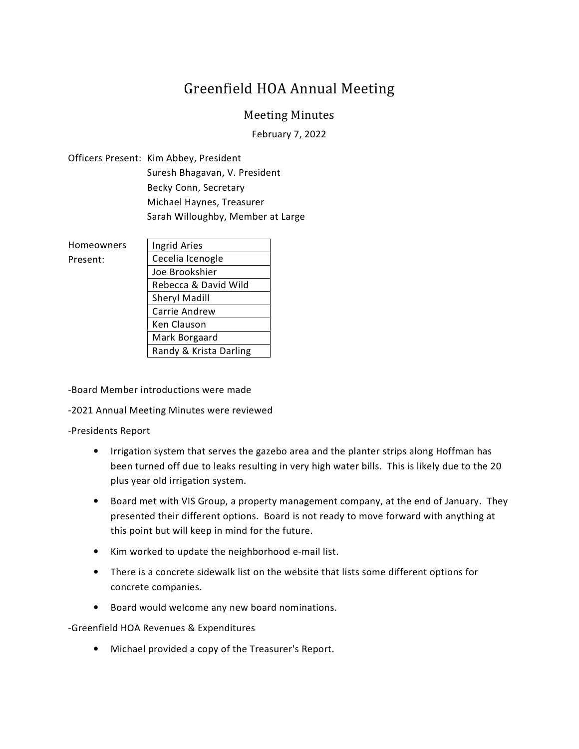## Greenfield HOA Annual Meeting

## Meeting Minutes

February 7, 2022

Officers Present: Kim Abbey, President Suresh Bhagavan, V. President Becky Conn, Secretary Michael Haynes, Treasurer Sarah Willoughby, Member at Large

| <b>Homeowners</b> | Ingrid Aries           |
|-------------------|------------------------|
| Present:          | Cecelia Icenogle       |
|                   | Joe Brookshier         |
|                   | Rebecca & David Wild   |
|                   | <b>Sheryl Madill</b>   |
|                   | Carrie Andrew          |
|                   | Ken Clauson            |
|                   | Mark Borgaard          |
|                   | Randy & Krista Darling |

-Board Member introductions were made

-2021 Annual Meeting Minutes were reviewed

## -Presidents Report

- Irrigation system that serves the gazebo area and the planter strips along Hoffman has been turned off due to leaks resulting in very high water bills. This is likely due to the 20 plus year old irrigation system.
- Board met with VIS Group, a property management company, at the end of January. They presented their different options. Board is not ready to move forward with anything at this point but will keep in mind for the future.
- Kim worked to update the neighborhood e-mail list.
- There is a concrete sidewalk list on the website that lists some different options for concrete companies.
- Board would welcome any new board nominations.

-Greenfield HOA Revenues & Expenditures

• Michael provided a copy of the Treasurer's Report.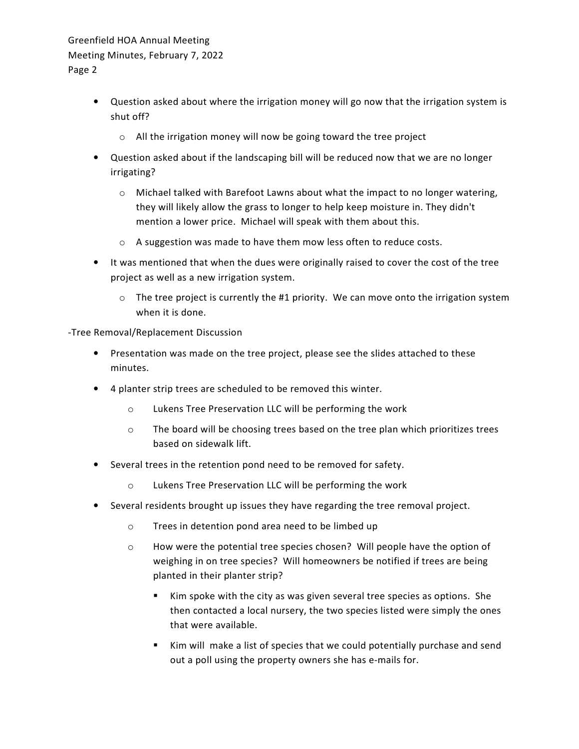## Greenfield HOA Annual Meeting Meeting Minutes, February 7, 2022 Page 2

- Question asked about where the irrigation money will go now that the irrigation system is shut off?
	- o All the irrigation money will now be going toward the tree project
- Question asked about if the landscaping bill will be reduced now that we are no longer irrigating?
	- $\circ$  Michael talked with Barefoot Lawns about what the impact to no longer watering, they will likely allow the grass to longer to help keep moisture in. They didn't mention a lower price. Michael will speak with them about this.
	- o A suggestion was made to have them mow less often to reduce costs.
- It was mentioned that when the dues were originally raised to cover the cost of the tree project as well as a new irrigation system.
	- $\circ$  The tree project is currently the #1 priority. We can move onto the irrigation system when it is done.

-Tree Removal/Replacement Discussion

- Presentation was made on the tree project, please see the slides attached to these minutes.
- 4 planter strip trees are scheduled to be removed this winter.
	- o Lukens Tree Preservation LLC will be performing the work
	- o The board will be choosing trees based on the tree plan which prioritizes trees based on sidewalk lift.
- Several trees in the retention pond need to be removed for safety.
	- o Lukens Tree Preservation LLC will be performing the work
- Several residents brought up issues they have regarding the tree removal project.
	- o Trees in detention pond area need to be limbed up
	- o How were the potential tree species chosen? Will people have the option of weighing in on tree species? Will homeowners be notified if trees are being planted in their planter strip?
		- Kim spoke with the city as was given several tree species as options. She then contacted a local nursery, the two species listed were simply the ones that were available.
		- Kim will make a list of species that we could potentially purchase and send out a poll using the property owners she has e-mails for.